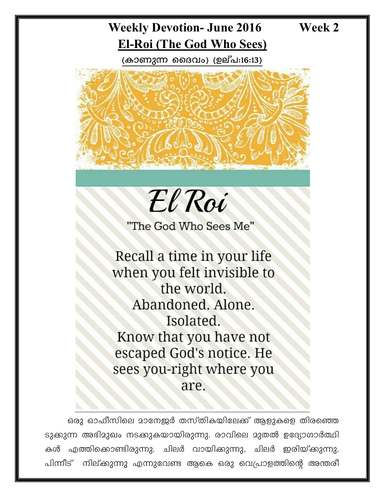# Week 2

# **Weekly Devotion- June 2016 El-Roi (The God Who Sees)**

(കാണുന്ന ദൈവം) (ഉല്പ:16:13)





"The God Who Sees Me"

Recall a time in your life when you felt invisible to the world. Abandoned. Alone. Isolated. Know that you have not escaped God's notice. He sees you-right where you are.

ഒരു ഓഫീസിലെ മാനേജർ തസ്തികയിലേക്ക് ആളുകളെ തിരഞ്ഞെ ടുക്കുന്ന അഭിമുഖം നടക്കുകയായിരുന്നു. രാവിലെ മുതൽ ഉദ്യോഗാർത്ഥി കൾ എത്തിക്കൊണ്ടിരുന്നു. ചിലർ വായിക്കുന്നു, ചിലർ ഇരിയ്ക്കുന്നു. നില്ക്കുന്നു എന്നുവേണ്ട ആകെ ഒരു വെപ്രാളത്തിന്റെ അന്തരീ പിന്നീട്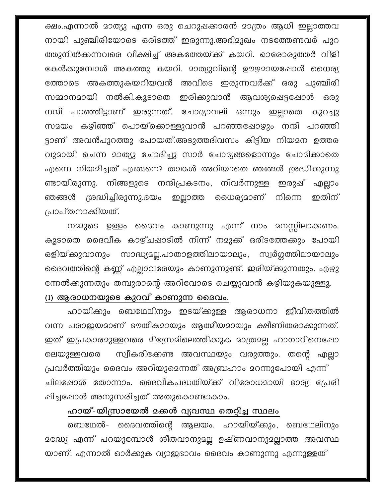ക്ഷം.എന്നാൽ മാത്യു എന്ന ഒരു ചെറുപ്പക്കാരൻ മാത്രം ആധി ഇല്ലാത്തവ നായി പുഞ്ചിരിയോടെ ഒരിടത്ത് ഇരുന്നു.അഭിമുഖം നടത്തേണ്ടവർ പുറ ത്തുനിൽക്കന്നവരെ വീക്ഷിച്ച് അകത്തേയ്ക്ക് കയറി. ഓരോരുത്തർ വിളി കേൾക്കുമ്പോൾ അകത്തു കയറി. മാത്യുവിന്റെ ഊഴമായപ്പോൾ ധൈര്യ ത്തോടെ അകത്തുകയറിയവൻ അവിടെ ഇരുന്നവർക്ക് ഒരു പുഞ്ചിരി സമ്മാനമായി നൽകി.കൂടാതെ ഇരിക്കുവാൻ ആവശ്യപ്പെട്ടപ്പോൾ ഒരു നന്ദി പറഞ്ഞിട്ടാണ് ഇരുന്നത്. ചോദ്യാവലി ഒന്നും ഇല്ലാതെ കുറച്ചു സമയം കഴിഞ്ഞ് പൊയ്ക്കൊള്ളുവാൻ പറഞ്ഞപ്പോഴും നന്ദി പറഞ്ഞി ട്ടാണ് അവൻപുറത്തു പോയത്.അടുത്തദിവസം കിട്ടിയ നിയമന ഉത്തര വുമായി ചെന്ന മാത്യു ചോദിച്ചു സാർ ചോദ്യങ്ങളൊന്നും ചോദിക്കാതെ എന്നെ നിയമിച്ചത് എങ്ങനെ? താങ്കൾ അറിയാതെ ഞങ്ങൾ ശ്രദ്ധിക്കുന്നു ണ്ടായിരുന്നു. നിങ്ങളുടെ നന്ദിപ്രകടനം, നിവർന്നുള്ള ഇരുഷ് എല്ലാം ശ്രദ്ധിച്ചിരുന്നു.ഭയം ഇല്ലാത്ത ധൈര്യമാണ് നിന്നെ ഇതിന് ഞങ്ങൾ പ്രാപ്തനാക്കിയത്.

നമ്മുടെ ഉള്ളം ദൈവം കാണുന്നു എന്ന് നാം മനസ്സിലാക്കണം. കൂടാതെ ദൈവീക കാഴ്ചപ്പാടിൽ നിന്ന് നമുക്ക് ഒരിടത്തേക്കും പോയി ഒളിയ്ക്കുവാനും സാദ്ധ്യമല്ല.പാതാളത്തിലായാലും, സ്വർഗ്ഗത്തിലായാലും ദൈവത്തിന്റെ കണ്ണ് എല്ലാവരേയും കാണുന്നുണ്ട്. ഇരിയ്ക്കുന്നതും, എഴു ന്നേൽക്കുന്നതും തമ്പുരാന്റെ അറിവോടെ ചെയ്യുവാൻ കഴിയുകയുള്ളൂ. (1) ആരാധനയുടെ കുറവ് കാണുന്ന ദൈവം.

ഹായിക്കും ബെഥേലിനും ഇടയ്ക്കുള്ള ആരാധനാ ജീവിതത്തിൽ വന്ന പരാജയമാണ് ഭൗതീകമായും ആത്മീയമായും ക്ഷീണിതരാക്കുന്നത്. ഇത് ഇപ്രകാരമുള്ളവരെ മിസ്രേമിലെത്തിക്കുക മാത്രമല്ല ഹാഗാറിനെഷോ സ്വീകരിക്കേണ്ട അവസ്ഥയും വരുത്തും. തന്റെ എല്ലാ ലെയുള്ളവരെ പ്രവർത്തിയും ദൈവം അറിയുമെന്നത് അബ്രഹാം മറന്നുപോയി എന്ന് ചിലപ്പോൾ തോന്നാം. ദൈവീകപദ്ധതിയ്ക്ക് വിരോധമായി ഭാര്യ പ്രേരി പ്പിച്ചപ്പോൾ അനുസരിച്ചത് അതുകൊണ്ടാകാം.

#### ഹായ്-യിസ്രായേൽ മക്കൾ വ്യവസ്ഥ തെറ്റിച്ച സ്ഥലം

ബെഥേൽ- ദൈവത്തിന്റെ ആലയം. ഹായിയ്ക്കും, ബെഥേലിനും മദ്ധ്യേ എന്ന് പറയുമ്പോൾ ശീതവാനുമല്ല ഉഷ്ണവാനുമല്ലാത്ത അവസ്ഥ യാണ്. എന്നാൽ ഓർക്കുക വ്യാജഭാവം ദൈവം കാണുന്നു എന്നുള്ളത്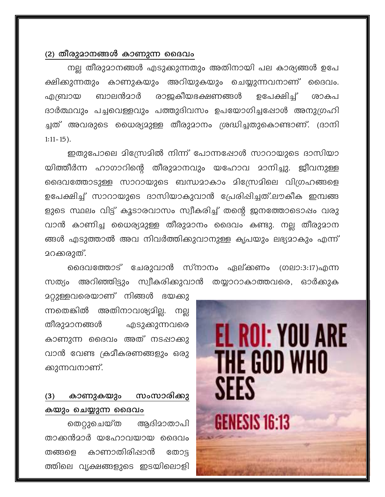### (2) തീരുമാനങ്ങൾ കാണുന്ന ദൈവം

നല്ല തീരുമാനങ്ങൾ എടുക്കുന്നതും അതിനായി പല കാര്യങ്ങൾ ഉപേ ക്ഷിക്കുന്നതും കാണുകയും അറിയുകയും ചെയ്യുന്നവനാണ് ദൈവം. ബാലൻമാർ രാജകീയഭക്ഷണങ്ങൾ എബ്രായ ഉപേക്ഷിച്ച് ശാകപ ദാർത്ഥവും പച്ചവെള്ളവും പത്തുദിവസം ഉപയോഗിച്ചപ്പോൾ അനുഗ്രഹി ച്ചത് അവരുടെ ധൈര്യമുള്ള തീരുമാനം ശ്രദ്ധിച്ചതുകൊണ്ടാണ്. (ദാനി  $1:11 - 15$ ).

ഇതുപോലെ മിസ്രേമിൽ നിന്ന് പോന്നഷോൾ സാറായുടെ ദാസിയാ യിത്തീർന്ന ഹാഗാറിന്റെ തീരുമാനവും യഹോവ മാനിച്ചു. ജീവനുള്ള ദൈവത്തോടുള്ള സാറായുടെ ബന്ധമാകാം മിസ്രേമിലെ വിഗ്രഹങ്ങളെ ഉപേക്ഷിച്ച് സാറായുടെ ദാസിയാകുവാൻ പ്രേരിപ്പിച്ചത്.ലൗകീക ഇമ്പങ്ങ ളുടെ സ്ഥലം വിട്ട് കൂടാരവാസം സ്വീകരിച്ച് തന്റെ ജനത്തോടൊഷം വരു വാൻ കാണിച്ച ധൈര്യമുള്ള തീരുമാനം ദൈവം കണ്ടു. നല്ല തീരുമാന ങ്ങൾ എടുത്താൽ അവ നിവർത്തിക്കുവാനുള്ള കൃപയും ലഭ്യമാകും എന്ന് മറക്കരുത്.

ദൈവത്തോട് ചേരുവാൻ സ്നാനം ഏല്ക്കണം (ഗലാ:3:17)എന്ന സത്യം അറിഞ്ഞിട്ടും സ്വീകരിക്കുവാൻ തയ്യാറാകാത്തവരെ, ഓർക്കുക

<u>ാറ്റുള്ളവരെയാണ് നിങ്ങൾ ഭയകു</u> ന്നതെങ്കിൽ അതിനാവശ്യമില്ല. നല്ല തീരുമാനങ്ങൾ എടുക്കുന്നവരെ കാണുന്ന ദൈവം അത് നടപ്പാക്കു വാൻ വേണ്ട ക്രമീകരണങ്ങളും ഒരു ക്കുന്നവനാണ്.

#### കാണുകയും സംസാരിക്കു  $(3)$ കയും ചെയ്യുന്ന ദൈവം

തെറ്റുചെയ്ത ആദിമാതാപി താക്കൻമാർ യഹോവയായ ദൈവം തങ്ങളെ കാണാതിരിപ്പാൻ തോട്ട ത്തിലെ വൃക്ഷങ്ങളുടെ ഇടയിലൊളി